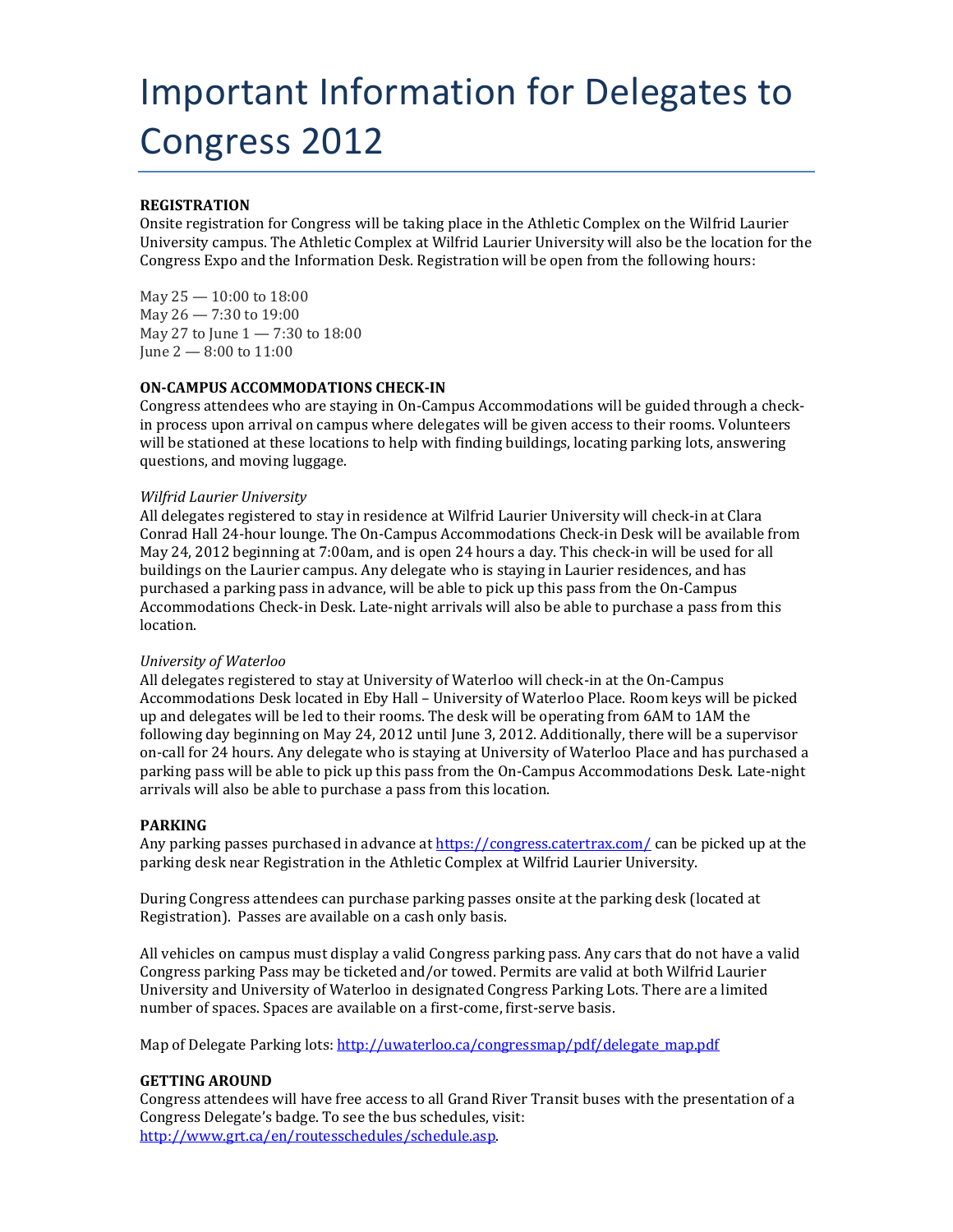# Important Information for Delegates to Congress 2012

# **REGISTRATION**

Onsite registration for Congress will be taking place in the Athletic Complex on the Wilfrid Laurier University campus. The Athletic Complex at Wilfrid Laurier University will also be the location for the Congress Expo and the Information Desk. Registration will be open from the following hours:

May 25 — 10:00 to 18:00 May 26 — 7:30 to 19:00 May 27 to June 1 — 7:30 to 18:00 June 2 — 8:00 to 11:00

### **ON-CAMPUS ACCOMMODATIONS CHECK-IN**

Congress attendees who are staying in On-Campus Accommodations will be guided through a checkin process upon arrival on campus where delegates will be given access to their rooms. Volunteers will be stationed at these locations to help with finding buildings, locating parking lots, answering questions, and moving luggage.

#### *Wilfrid Laurier University*

All delegates registered to stay in residence at Wilfrid Laurier University will check-in at Clara Conrad Hall 24-hour lounge. The On-Campus Accommodations Check-in Desk will be available from May 24, 2012 beginning at 7:00am, and is open 24 hours a day. This check-in will be used for all buildings on the Laurier campus. Any delegate who is staying in Laurier residences, and has purchased a parking pass in advance, will be able to pick up this pass from the On-Campus Accommodations Check-in Desk. Late-night arrivals will also be able to purchase a pass from this location.

### *University of Waterloo*

All delegates registered to stay at University of Waterloo will check-in at the On-Campus Accommodations Desk located in Eby Hall – University of Waterloo Place. Room keys will be picked up and delegates will be led to their rooms. The desk will be operating from 6AM to 1AM the following day beginning on May 24, 2012 until June 3, 2012. Additionally, there will be a supervisor on-call for 24 hours. Any delegate who is staying at University of Waterloo Place and has purchased a parking pass will be able to pick up this pass from the On-Campus Accommodations Desk. Late-night arrivals will also be able to purchase a pass from this location.

### **PARKING**

Any parking passes purchased in advance a[t https://congress.catertrax.com/](https://congress.catertrax.com/) can be picked up at the parking desk near Registration in the Athletic Complex at Wilfrid Laurier University.

During Congress attendees can purchase parking passes onsite at the parking desk (located at Registration). Passes are available on a cash only basis.

All vehicles on campus must display a valid Congress parking pass. Any cars that do not have a valid Congress parking Pass may be ticketed and/or towed. Permits are valid at both Wilfrid Laurier University and University of Waterloo in designated Congress Parking Lots. There are a limited number of spaces. Spaces are available on a first-come, first-serve basis.

Map of Delegate Parking lots[: http://uwaterloo.ca/congressmap/pdf/delegate\\_map.pdf](http://uwaterloo.ca/congressmap/pdf/delegate_map.pdf)

### **GETTING AROUND**

Congress attendees will have free access to all Grand River Transit buses with the presentation of a Congress Delegate's badge. To see the bus schedules, visit: [http://www.grt.ca/en/routesschedules/schedule.asp.](http://www.grt.ca/en/routesschedules/schedule.asp)